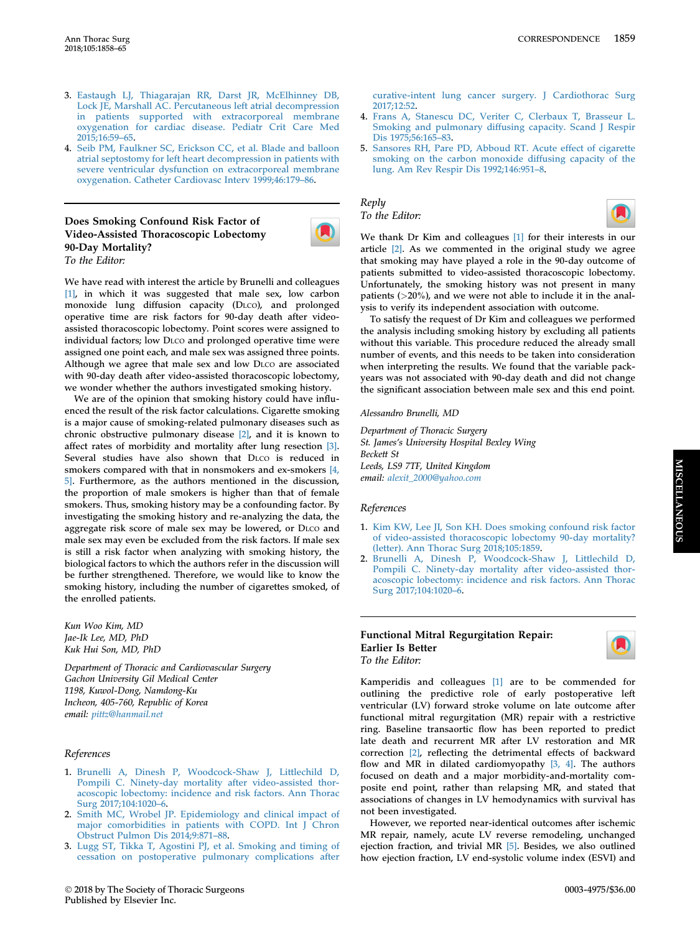**MISCELLANEOUS** MISCELLANEOUS

- 3. [Eastaugh LJ, Thiagarajan RR, Darst JR, McElhinney DB,](http://refhub.elsevier.com/S0003-4975(17)30409-5/sref3) [Lock JE, Marshall AC. Percutaneous left atrial decompression](http://refhub.elsevier.com/S0003-4975(17)30409-5/sref3) [in patients supported with extracorporeal membrane](http://refhub.elsevier.com/S0003-4975(17)30409-5/sref3) [oxygenation for cardiac disease. Pediatr Crit Care Med](http://refhub.elsevier.com/S0003-4975(17)30409-5/sref3) [2015;16:59](http://refhub.elsevier.com/S0003-4975(17)30409-5/sref3)–65.
- 4. [Seib PM, Faulkner SC, Erickson CC, et al. Blade and balloon](http://refhub.elsevier.com/S0003-4975(17)30409-5/sref4) [atrial septostomy for left heart decompression in patients with](http://refhub.elsevier.com/S0003-4975(17)30409-5/sref4) [severe ventricular dysfunction on extracorporeal membrane](http://refhub.elsevier.com/S0003-4975(17)30409-5/sref4) [oxygenation. Catheter Cardiovasc Interv 1999;46:179](http://refhub.elsevier.com/S0003-4975(17)30409-5/sref4)–86.

# Does Smoking Confound Risk Factor of Video-Assisted Thoracoscopic Lobectomy 90-Day Mortality? To the Editor:

We have read with interest the article by Brunelli and colleagues [1], in which it was suggested that male sex, low carbon monoxide lung diffusion capacity (DLCO), and prolonged operative time are risk factors for 90-day death after videoassisted thoracoscopic lobectomy. Point scores were assigned to individual factors; low DLCO and prolonged operative time were assigned one point each, and male sex was assigned three points. Although we agree that male sex and low DLCO are associated with 90-day death after video-assisted thoracoscopic lobectomy, we wonder whether the authors investigated smoking history.

We are of the opinion that smoking history could have influenced the result of the risk factor calculations. Cigarette smoking is a major cause of smoking-related pulmonary diseases such as chronic obstructive pulmonary disease [2], and it is known to affect rates of morbidity and mortality after lung resection [3]. Several studies have also shown that DLCO is reduced in smokers compared with that in nonsmokers and ex-smokers [4, 5]. Furthermore, as the authors mentioned in the discussion, the proportion of male smokers is higher than that of female smokers. Thus, smoking history may be a confounding factor. By investigating the smoking history and re-analyzing the data, the aggregate risk score of male sex may be lowered, or DLCO and male sex may even be excluded from the risk factors. If male sex is still a risk factor when analyzing with smoking history, the biological factors to which the authors refer in the discussion will be further strengthened. Therefore, we would like to know the smoking history, including the number of cigarettes smoked, of the enrolled patients.

Kun Woo Kim, MD Jae-Ik Lee, MD, PhD Kuk Hui Son, MD, PhD

Department of Thoracic and Cardiovascular Surgery Gachon University Gil Medical Center 1198, Kuwol-Dong, Namdong-Ku Incheon, 405-760, Republic of Korea email: [pittz@hanmail.net](mailto:pittz@hanmail.net)

### References

- 1. [Brunelli A, Dinesh P, Woodcock-Shaw J, Littlechild D,](http://refhub.elsevier.com/S0003-4975(17)31403-0/sref1) [Pompili C. Ninety-day mortality after video-assisted thor](http://refhub.elsevier.com/S0003-4975(17)31403-0/sref1)[acoscopic lobectomy: incidence and risk factors. Ann Thorac](http://refhub.elsevier.com/S0003-4975(17)31403-0/sref1) [Surg 2017;104:1020](http://refhub.elsevier.com/S0003-4975(17)31403-0/sref1)–6.
- 2. [Smith MC, Wrobel JP. Epidemiology and clinical impact of](http://refhub.elsevier.com/S0003-4975(17)31403-0/sref2) [major comorbidities in patients with COPD. Int J Chron](http://refhub.elsevier.com/S0003-4975(17)31403-0/sref2) [Obstruct Pulmon Dis 2014;9:871](http://refhub.elsevier.com/S0003-4975(17)31403-0/sref2)–88.
- 3. [Lugg ST, Tikka T, Agostini PJ, et al. Smoking and timing of](http://refhub.elsevier.com/S0003-4975(17)30409-5/sref3) [cessation on postoperative pulmonary complications after](http://refhub.elsevier.com/S0003-4975(17)30409-5/sref3)

[curative-intent lung cancer surgery. J Cardiothorac Surg](http://refhub.elsevier.com/S0003-4975(17)30409-5/sref3) [2017;12:52](http://refhub.elsevier.com/S0003-4975(17)30409-5/sref3).

- 4. [Frans A, Stanescu DC, Veriter C, Clerbaux T, Brasseur L.](http://refhub.elsevier.com/S0003-4975(17)30409-5/sref4) [Smoking and pulmonary diffusing capacity. Scand J Respir](http://refhub.elsevier.com/S0003-4975(17)30409-5/sref4) [Dis 1975;56:165](http://refhub.elsevier.com/S0003-4975(17)30409-5/sref4)–83.
- 5. [Sansores RH, Pare PD, Abboud RT. Acute effect of cigarette](http://refhub.elsevier.com/S0003-4975(17)30409-5/sref5) [smoking on the carbon monoxide diffusing capacity of the](http://refhub.elsevier.com/S0003-4975(17)30409-5/sref5) [lung. Am Rev Respir Dis 1992;146:951](http://refhub.elsevier.com/S0003-4975(17)30409-5/sref5)–8.

# Reply To the Editor:



We thank Dr Kim and colleagues [1] for their interests in our article [2]. As we commented in the original study we agree that smoking may have played a role in the 90-day outcome of patients submitted to video-assisted thoracoscopic lobectomy. Unfortunately, the smoking history was not present in many patients (>20%), and we were not able to include it in the analysis to verify its independent association with outcome.

To satisfy the request of Dr Kim and colleagues we performed the analysis including smoking history by excluding all patients without this variable. This procedure reduced the already small number of events, and this needs to be taken into consideration when interpreting the results. We found that the variable packyears was not associated with 90-day death and did not change the significant association between male sex and this end point.

Alessandro Brunelli, MD

Department of Thoracic Surgery St. James's University Hospital Bexley Wing Beckett St Leeds, LS9 7TF, United Kingdom email: [alexit\\_2000@yahoo.com](mailto:alexit_2000@yahoo.com)

### References

- 1. [Kim KW, Lee JI, Son KH. Does smoking confound risk factor](http://refhub.elsevier.com/S0003-4975(17)31403-0/sref1) [of video-assisted thoracoscopic lobectomy 90-day mortality?](http://refhub.elsevier.com/S0003-4975(17)31403-0/sref1) [\(letter\). Ann Thorac Surg 2018;105:1859](http://refhub.elsevier.com/S0003-4975(17)31403-0/sref1).
- 2. [Brunelli A, Dinesh P, Woodcock-Shaw J, Littlechild D,](http://refhub.elsevier.com/S0003-4975(17)31403-0/sref2) [Pompili C. Ninety-day mortality after video-assisted thor](http://refhub.elsevier.com/S0003-4975(17)31403-0/sref2)[acoscopic lobectomy: incidence and risk factors. Ann Thorac](http://refhub.elsevier.com/S0003-4975(17)31403-0/sref2) [Surg 2017;104:1020](http://refhub.elsevier.com/S0003-4975(17)31403-0/sref2)–6.

#### Functional Mitral Regurgitation Repair: Earlier Is Better To the Editor:

Kamperidis and colleagues [\[1\]](#page-1-0) are to be commended for outlining the predictive role of early postoperative left ventricular (LV) forward stroke volume on late outcome after functional mitral regurgitation (MR) repair with a restrictive ring. Baseline transaortic flow has been reported to predict late death and recurrent MR after LV restoration and MR correction [\[2\]](#page-1-0), reflecting the detrimental effects of backward flow and MR in dilated cardiomyopathy [\[3, 4\].](#page-1-0) The authors focused on death and a major morbidity-and-mortality composite end point, rather than relapsing MR, and stated that associations of changes in LV hemodynamics with survival has not been investigated.

However, we reported near-identical outcomes after ischemic MR repair, namely, acute LV reverse remodeling, unchanged ejection fraction, and trivial MR [\[5\].](#page-1-0) Besides, we also outlined how ejection fraction, LV end-systolic volume index (ESVI) and